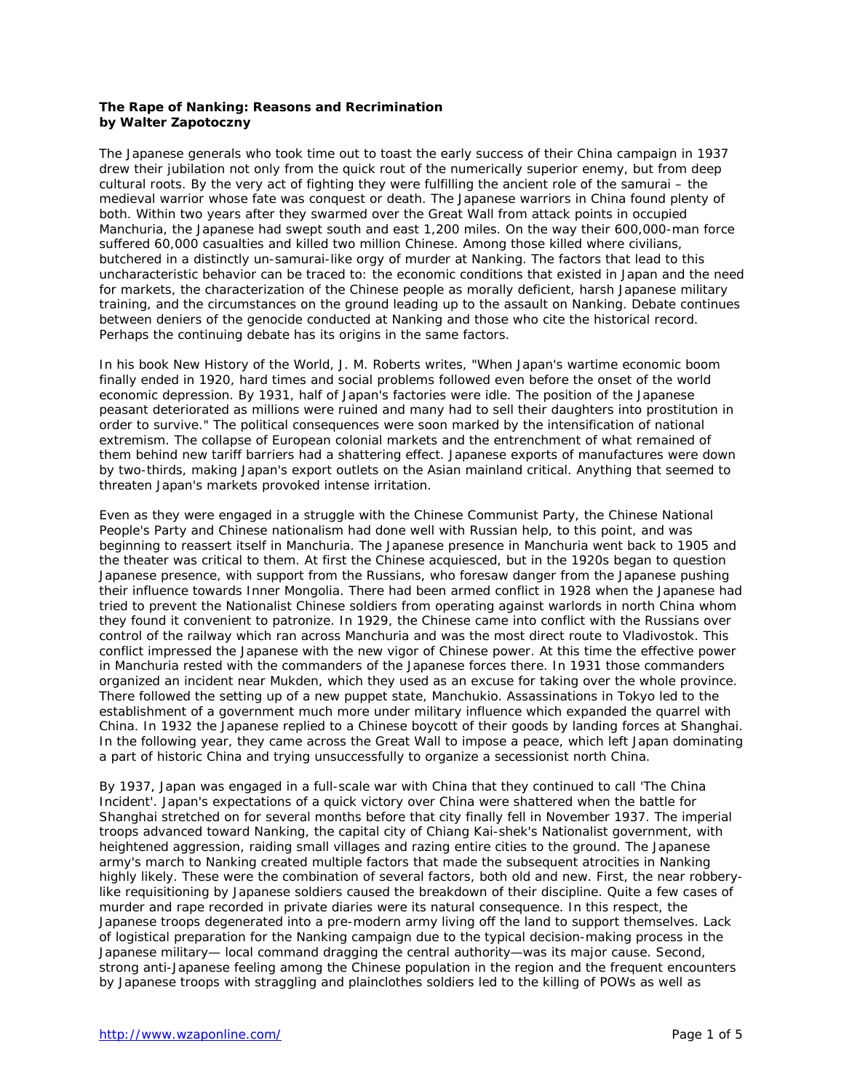## **The Rape of Nanking: Reasons and Recrimination by Walter Zapotoczny**

The Japanese generals who took time out to toast the early success of their China campaign in 1937 drew their jubilation not only from the quick rout of the numerically superior enemy, but from deep cultural roots. By the very act of fighting they were fulfilling the ancient role of the samurai – the medieval warrior whose fate was conquest or death. The Japanese warriors in China found plenty of both. Within two years after they swarmed over the Great Wall from attack points in occupied Manchuria, the Japanese had swept south and east 1,200 miles. On the way their 600,000-man force suffered 60,000 casualties and killed two million Chinese. Among those killed where civilians, butchered in a distinctly un-samurai-like orgy of murder at Nanking. The factors that lead to this uncharacteristic behavior can be traced to: the economic conditions that existed in Japan and the need for markets, the characterization of the Chinese people as morally deficient, harsh Japanese military training, and the circumstances on the ground leading up to the assault on Nanking. Debate continues between deniers of the genocide conducted at Nanking and those who cite the historical record. Perhaps the continuing debate has its origins in the same factors.

In his book *New History of the World,* J. M. Roberts writes, "When Japan's wartime economic boom finally ended in 1920, hard times and social problems followed even before the onset of the world economic depression. By 1931, half of Japan's factories were idle. The position of the Japanese peasant deteriorated as millions were ruined and many had to sell their daughters into prostitution in order to survive." The political consequences were soon marked by the intensification of national extremism. The collapse of European colonial markets and the entrenchment of what remained of them behind new tariff barriers had a shattering effect. Japanese exports of manufactures were down by two-thirds, making Japan's export outlets on the Asian mainland critical. Anything that seemed to threaten Japan's markets provoked intense irritation.

Even as they were engaged in a struggle with the Chinese Communist Party, the Chinese National People's Party and Chinese nationalism had done well with Russian help, to this point, and was beginning to reassert itself in Manchuria. The Japanese presence in Manchuria went back to 1905 and the theater was critical to them. At first the Chinese acquiesced, but in the 1920s began to question Japanese presence, with support from the Russians, who foresaw danger from the Japanese pushing their influence towards Inner Mongolia. There had been armed conflict in 1928 when the Japanese had tried to prevent the Nationalist Chinese soldiers from operating against warlords in north China whom they found it convenient to patronize. In 1929, the Chinese came into conflict with the Russians over control of the railway which ran across Manchuria and was the most direct route to Vladivostok. This conflict impressed the Japanese with the new vigor of Chinese power. At this time the effective power in Manchuria rested with the commanders of the Japanese forces there. In 1931 those commanders organized an incident near Mukden, which they used as an excuse for taking over the whole province. There followed the setting up of a new puppet state, Manchukio. Assassinations in Tokyo led to the establishment of a government much more under military influence which expanded the quarrel with China. In 1932 the Japanese replied to a Chinese boycott of their goods by landing forces at Shanghai. In the following year, they came across the Great Wall to impose a peace, which left Japan dominating a part of historic China and trying unsuccessfully to organize a secessionist north China.

By 1937, Japan was engaged in a full-scale war with China that they continued to call 'The China Incident'. Japan's expectations of a quick victory over China were shattered when the battle for Shanghai stretched on for several months before that city finally fell in November 1937. The imperial troops advanced toward Nanking, the capital city of Chiang Kai-shek's Nationalist government, with heightened aggression, raiding small villages and razing entire cities to the ground. The Japanese army's march to Nanking created multiple factors that made the subsequent atrocities in Nanking highly likely. These were the combination of several factors, both old and new. First, the near robberylike requisitioning by Japanese soldiers caused the breakdown of their discipline. Quite a few cases of murder and rape recorded in private diaries were its natural consequence. In this respect, the Japanese troops degenerated into a pre-modern army living off the land to support themselves. Lack of logistical preparation for the Nanking campaign due to the typical decision-making process in the Japanese military— local command dragging the central authority—was its major cause. Second, strong anti-Japanese feeling among the Chinese population in the region and the frequent encounters by Japanese troops with straggling and plainclothes soldiers led to the killing of POWs as well as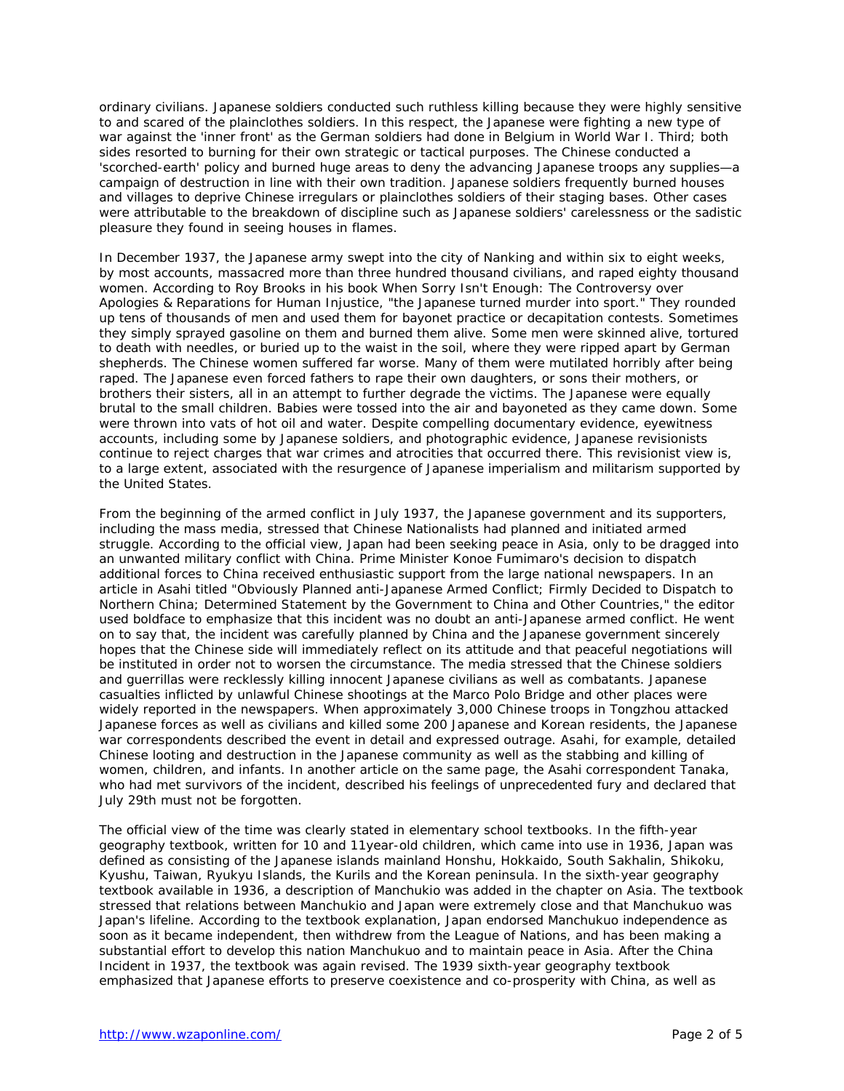ordinary civilians. Japanese soldiers conducted such ruthless killing because they were highly sensitive to and scared of the plainclothes soldiers. In this respect, the Japanese were fighting a new type of war against the 'inner front' as the German soldiers had done in Belgium in World War I. Third; both sides resorted to burning for their own strategic or tactical purposes. The Chinese conducted a 'scorched-earth' policy and burned huge areas to deny the advancing Japanese troops any supplies—a campaign of destruction in line with their own tradition. Japanese soldiers frequently burned houses and villages to deprive Chinese irregulars or plainclothes soldiers of their staging bases. Other cases were attributable to the breakdown of discipline such as Japanese soldiers' carelessness or the sadistic pleasure they found in seeing houses in flames.

In December 1937, the Japanese army swept into the city of Nanking and within six to eight weeks, by most accounts, massacred more than three hundred thousand civilians, and raped eighty thousand women. According to Roy Brooks in his book *When Sorry Isn't Enough: The Controversy over Apologies & Reparations for Human Injustice,* "the Japanese turned murder into sport." They rounded up tens of thousands of men and used them for bayonet practice or decapitation contests. Sometimes they simply sprayed gasoline on them and burned them alive. Some men were skinned alive, tortured to death with needles, or buried up to the waist in the soil, where they were ripped apart by German shepherds. The Chinese women suffered far worse. Many of them were mutilated horribly after being raped. The Japanese even forced fathers to rape their own daughters, or sons their mothers, or brothers their sisters, all in an attempt to further degrade the victims. The Japanese were equally brutal to the small children. Babies were tossed into the air and bayoneted as they came down. Some were thrown into vats of hot oil and water. Despite compelling documentary evidence, eyewitness accounts, including some by Japanese soldiers, and photographic evidence, Japanese revisionists continue to reject charges that war crimes and atrocities that occurred there. This revisionist view is, to a large extent, associated with the resurgence of Japanese imperialism and militarism supported by the United States.

From the beginning of the armed conflict in July 1937, the Japanese government and its supporters, including the mass media, stressed that Chinese Nationalists had planned and initiated armed struggle. According to the official view, Japan had been seeking peace in Asia, only to be dragged into an unwanted military conflict with China. Prime Minister Konoe Fumimaro's decision to dispatch additional forces to China received enthusiastic support from the large national newspapers. In an article in *Asahi* titled "Obviously Planned anti-Japanese Armed Conflict; Firmly Decided to Dispatch to Northern China; Determined Statement by the Government to China and Other Countries," the editor used boldface to emphasize that this incident was no doubt an anti-Japanese armed conflict. He went on to say that, the incident was carefully planned by China and the Japanese government sincerely hopes that the Chinese side will immediately reflect on its attitude and that peaceful negotiations will be instituted in order not to worsen the circumstance. The media stressed that the Chinese soldiers and guerrillas were recklessly killing innocent Japanese civilians as well as combatants. Japanese casualties inflicted by unlawful Chinese shootings at the Marco Polo Bridge and other places were widely reported in the newspapers. When approximately 3,000 Chinese troops in Tongzhou attacked Japanese forces as well as civilians and killed some 200 Japanese and Korean residents, the Japanese war correspondents described the event in detail and expressed outrage. Asahi, for example, detailed Chinese looting and destruction in the Japanese community as well as the stabbing and killing of women, children, and infants. In another article on the same page, the *Asahi* correspondent Tanaka, who had met survivors of the incident, described his feelings of unprecedented fury and declared that July 29th must not be forgotten.

The official view of the time was clearly stated in elementary school textbooks. In the fifth-year geography textbook, written for 10 and 11year-old children, which came into use in 1936, Japan was defined as consisting of the Japanese islands mainland Honshu, Hokkaido, South Sakhalin, Shikoku, Kyushu, Taiwan, Ryukyu Islands, the Kurils and the Korean peninsula. In the sixth-year geography textbook available in 1936, a description of Manchukio was added in the chapter on Asia. The textbook stressed that relations between Manchukio and Japan were extremely close and that Manchukuo was Japan's lifeline. According to the textbook explanation, Japan endorsed Manchukuo independence as soon as it became independent, then withdrew from the League of Nations, and has been making a substantial effort to develop this nation Manchukuo and to maintain peace in Asia. After the China Incident in 1937, the textbook was again revised. The 1939 sixth-year geography textbook emphasized that Japanese efforts to preserve coexistence and co-prosperity with China, as well as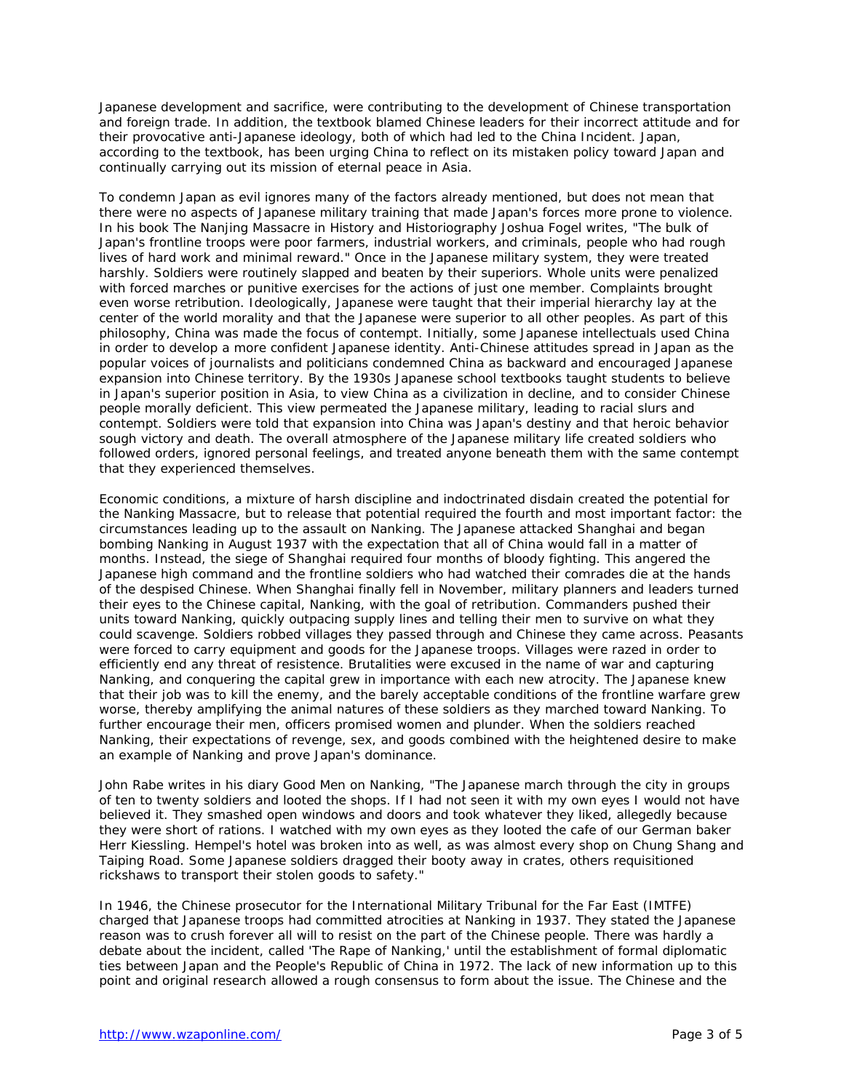Japanese development and sacrifice, were contributing to the development of Chinese transportation and foreign trade. In addition, the textbook blamed Chinese leaders for their incorrect attitude and for their provocative anti-Japanese ideology, both of which had led to the China Incident. Japan, according to the textbook, has been urging China to reflect on its mistaken policy toward Japan and continually carrying out its mission of eternal peace in Asia.

To condemn Japan as evil ignores many of the factors already mentioned, but does not mean that there were no aspects of Japanese military training that made Japan's forces more prone to violence. In his book *The Nanjing Massacre in History and Historiography* Joshua Fogel writes, "The bulk of Japan's frontline troops were poor farmers, industrial workers, and criminals, people who had rough lives of hard work and minimal reward." Once in the Japanese military system, they were treated harshly. Soldiers were routinely slapped and beaten by their superiors. Whole units were penalized with forced marches or punitive exercises for the actions of just one member. Complaints brought even worse retribution. Ideologically, Japanese were taught that their imperial hierarchy lay at the center of the world morality and that the Japanese were superior to all other peoples. As part of this philosophy, China was made the focus of contempt. Initially, some Japanese intellectuals used China in order to develop a more confident Japanese identity. Anti-Chinese attitudes spread in Japan as the popular voices of journalists and politicians condemned China as backward and encouraged Japanese expansion into Chinese territory. By the 1930s Japanese school textbooks taught students to believe in Japan's superior position in Asia, to view China as a civilization in decline, and to consider Chinese people morally deficient. This view permeated the Japanese military, leading to racial slurs and contempt. Soldiers were told that expansion into China was Japan's destiny and that heroic behavior sough victory and death. The overall atmosphere of the Japanese military life created soldiers who followed orders, ignored personal feelings, and treated anyone beneath them with the same contempt that they experienced themselves.

Economic conditions, a mixture of harsh discipline and indoctrinated disdain created the potential for the Nanking Massacre, but to release that potential required the fourth and most important factor: the circumstances leading up to the assault on Nanking. The Japanese attacked Shanghai and began bombing Nanking in August 1937 with the expectation that all of China would fall in a matter of months. Instead, the siege of Shanghai required four months of bloody fighting. This angered the Japanese high command and the frontline soldiers who had watched their comrades die at the hands of the despised Chinese. When Shanghai finally fell in November, military planners and leaders turned their eyes to the Chinese capital, Nanking, with the goal of retribution. Commanders pushed their units toward Nanking, quickly outpacing supply lines and telling their men to survive on what they could scavenge. Soldiers robbed villages they passed through and Chinese they came across. Peasants were forced to carry equipment and goods for the Japanese troops. Villages were razed in order to efficiently end any threat of resistence. Brutalities were excused in the name of war and capturing Nanking, and conquering the capital grew in importance with each new atrocity. The Japanese knew that their job was to kill the enemy, and the barely acceptable conditions of the frontline warfare grew worse, thereby amplifying the animal natures of these soldiers as they marched toward Nanking. To further encourage their men, officers promised women and plunder. When the soldiers reached Nanking, their expectations of revenge, sex, and goods combined with the heightened desire to make an example of Nanking and prove Japan's dominance.

John Rabe writes in his diary *Good Men on Nanking,* "The Japanese march through the city in groups of ten to twenty soldiers and looted the shops. If I had not seen it with my own eyes I would not have believed it. They smashed open windows and doors and took whatever they liked, allegedly because they were short of rations. I watched with my own eyes as they looted the cafe of our German baker Herr Kiessling. Hempel's hotel was broken into as well, as was almost every shop on Chung Shang and Taiping Road. Some Japanese soldiers dragged their booty away in crates, others requisitioned rickshaws to transport their stolen goods to safety."

In 1946, the Chinese prosecutor for the International Military Tribunal for the Far East (IMTFE) charged that Japanese troops had committed atrocities at Nanking in 1937. They stated the Japanese reason was to crush forever all will to resist on the part of the Chinese people. There was hardly a debate about the incident, called 'The Rape of Nanking,' until the establishment of formal diplomatic ties between Japan and the People's Republic of China in 1972. The lack of new information up to this point and original research allowed a rough consensus to form about the issue. The Chinese and the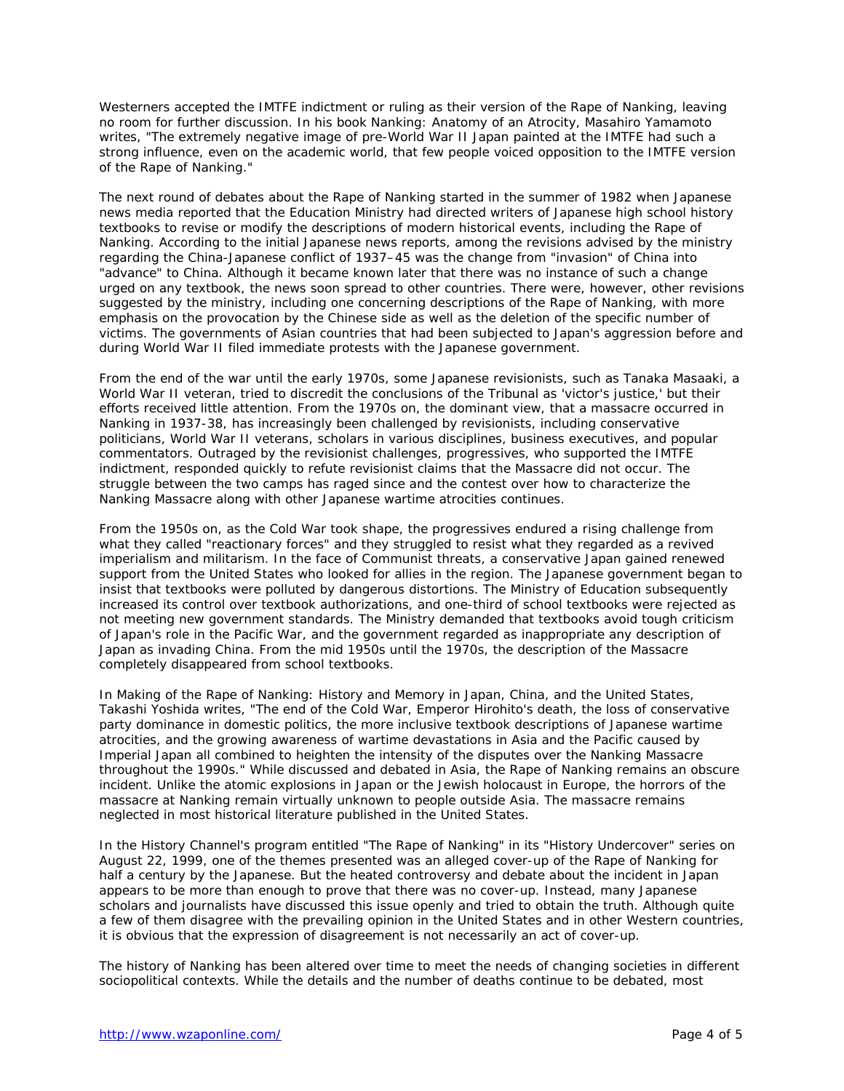Westerners accepted the IMTFE indictment or ruling as their version of the Rape of Nanking, leaving no room for further discussion. In his book *Nanking: Anatomy of an Atrocity,* Masahiro Yamamoto writes, "The extremely negative image of pre-World War II Japan painted at the IMTFE had such a strong influence, even on the academic world, that few people voiced opposition to the IMTFE version of the Rape of Nanking."

The next round of debates about the Rape of Nanking started in the summer of 1982 when Japanese news media reported that the Education Ministry had directed writers of Japanese high school history textbooks to revise or modify the descriptions of modern historical events, including the Rape of Nanking. According to the initial Japanese news reports, among the revisions advised by the ministry regarding the China-Japanese conflict of 1937–45 was the change from "invasion" of China into "advance" to China. Although it became known later that there was no instance of such a change urged on any textbook, the news soon spread to other countries. There were, however, other revisions suggested by the ministry, including one concerning descriptions of the Rape of Nanking, with more emphasis on the provocation by the Chinese side as well as the deletion of the specific number of victims. The governments of Asian countries that had been subjected to Japan's aggression before and during World War II filed immediate protests with the Japanese government.

From the end of the war until the early 1970s, some Japanese revisionists, such as Tanaka Masaaki, a World War II veteran, tried to discredit the conclusions of the Tribunal as 'victor's justice,' but their efforts received little attention. From the 1970s on, the dominant view, that a massacre occurred in Nanking in 1937-38, has increasingly been challenged by revisionists, including conservative politicians, World War II veterans, scholars in various disciplines, business executives, and popular commentators. Outraged by the revisionist challenges, progressives, who supported the IMTFE indictment, responded quickly to refute revisionist claims that the Massacre did not occur. The struggle between the two camps has raged since and the contest over how to characterize the Nanking Massacre along with other Japanese wartime atrocities continues.

From the 1950s on, as the Cold War took shape, the progressives endured a rising challenge from what they called "reactionary forces" and they struggled to resist what they regarded as a revived imperialism and militarism. In the face of Communist threats, a conservative Japan gained renewed support from the United States who looked for allies in the region. The Japanese government began to insist that textbooks were polluted by dangerous distortions. The Ministry of Education subsequently increased its control over textbook authorizations, and one-third of school textbooks were rejected as not meeting new government standards. The Ministry demanded that textbooks avoid tough criticism of Japan's role in the Pacific War, and the government regarded as inappropriate any description of Japan as invading China. From the mid 1950s until the 1970s, the description of the Massacre completely disappeared from school textbooks.

In *Making of the Rape of Nanking: History and Memory in Japan, China, and the United States,* Takashi Yoshida writes, "The end of the Cold War, Emperor Hirohito's death, the loss of conservative party dominance in domestic politics, the more inclusive textbook descriptions of Japanese wartime atrocities, and the growing awareness of wartime devastations in Asia and the Pacific caused by Imperial Japan all combined to heighten the intensity of the disputes over the Nanking Massacre throughout the 1990s." While discussed and debated in Asia, the Rape of Nanking remains an obscure incident. Unlike the atomic explosions in Japan or the Jewish holocaust in Europe, the horrors of the massacre at Nanking remain virtually unknown to people outside Asia. The massacre remains neglected in most historical literature published in the United States.

In the History Channel's program entitled "The Rape of Nanking" in its "History Undercover" series on August 22, 1999, one of the themes presented was an alleged cover-up of the Rape of Nanking for half a century by the Japanese. But the heated controversy and debate about the incident in Japan appears to be more than enough to prove that there was no cover-up. Instead, many Japanese scholars and journalists have discussed this issue openly and tried to obtain the truth. Although quite a few of them disagree with the prevailing opinion in the United States and in other Western countries, it is obvious that the expression of disagreement is not necessarily an act of cover-up.

The history of Nanking has been altered over time to meet the needs of changing societies in different sociopolitical contexts. While the details and the number of deaths continue to be debated, most